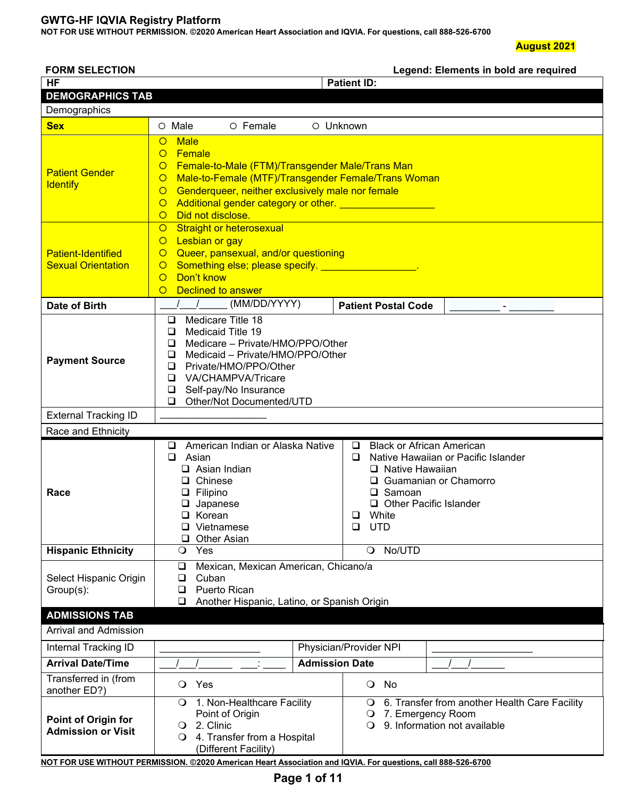**NOT FOR USE WITHOUT PERMISSION. ©2020 American Heart Association and IQVIA. For questions, call 888-526-6700**

#### **August 2021**

| <b>FORM SELECTION</b>                                                                              |                                                                                                                                                                                                                                                                                                                                                                                                                                                                                                                                                                                                                              | Legend: Elements in bold are required                                                                                                                                                                                       |  |  |  |  |  |  |
|----------------------------------------------------------------------------------------------------|------------------------------------------------------------------------------------------------------------------------------------------------------------------------------------------------------------------------------------------------------------------------------------------------------------------------------------------------------------------------------------------------------------------------------------------------------------------------------------------------------------------------------------------------------------------------------------------------------------------------------|-----------------------------------------------------------------------------------------------------------------------------------------------------------------------------------------------------------------------------|--|--|--|--|--|--|
| <b>HF</b>                                                                                          |                                                                                                                                                                                                                                                                                                                                                                                                                                                                                                                                                                                                                              | <b>Patient ID:</b>                                                                                                                                                                                                          |  |  |  |  |  |  |
| <b>DEMOGRAPHICS TAB</b>                                                                            |                                                                                                                                                                                                                                                                                                                                                                                                                                                                                                                                                                                                                              |                                                                                                                                                                                                                             |  |  |  |  |  |  |
| Demographics                                                                                       |                                                                                                                                                                                                                                                                                                                                                                                                                                                                                                                                                                                                                              |                                                                                                                                                                                                                             |  |  |  |  |  |  |
| <b>Sex</b>                                                                                         | O Female<br>$\circ$ Male                                                                                                                                                                                                                                                                                                                                                                                                                                                                                                                                                                                                     |                                                                                                                                                                                                                             |  |  |  |  |  |  |
| <b>Patient Gender</b><br><b>Identify</b><br><b>Patient-Identified</b><br><b>Sexual Orientation</b> | O Unknown<br><b>Male</b><br>$\circ$<br>Female<br>$\circ$<br>Female-to-Male (FTM)/Transgender Male/Trans Man<br>$\circ$<br>Male-to-Female (MTF)/Transgender Female/Trans Woman<br>$\circ$<br>Genderqueer, neither exclusively male nor female<br>$\circ$<br>Additional gender category or other. _____________________<br>$\circ$<br>Did not disclose.<br>$\circ$<br><b>Straight or heterosexual</b><br>$\circ$<br>Lesbian or gay<br>$\circ$<br>Queer, pansexual, and/or questioning<br>$\circ$<br>Something else; please specify. ___________________.<br>$\circ$<br>Don't know<br>$\circ$<br><b>Declined to answer</b><br>O |                                                                                                                                                                                                                             |  |  |  |  |  |  |
| Date of Birth                                                                                      | (MM/DD/YYYY)<br>$\begin{array}{ccc} \end{array}$                                                                                                                                                                                                                                                                                                                                                                                                                                                                                                                                                                             | <b>Patient Postal Code</b>                                                                                                                                                                                                  |  |  |  |  |  |  |
| <b>Payment Source</b>                                                                              | Medicare Title 18<br>❏<br>Medicaid Title 19<br>❏<br>Medicare - Private/HMO/PPO/Other<br>❏<br>Medicaid - Private/HMO/PPO/Other<br>❏<br>Private/HMO/PPO/Other<br>❏<br>VA/CHAMPVA/Tricare<br>❏<br>Self-pay/No Insurance<br>$\Box$<br>Other/Not Documented/UTD<br>$\Box$                                                                                                                                                                                                                                                                                                                                                         |                                                                                                                                                                                                                             |  |  |  |  |  |  |
| <b>External Tracking ID</b>                                                                        |                                                                                                                                                                                                                                                                                                                                                                                                                                                                                                                                                                                                                              |                                                                                                                                                                                                                             |  |  |  |  |  |  |
| Race and Ethnicity                                                                                 |                                                                                                                                                                                                                                                                                                                                                                                                                                                                                                                                                                                                                              |                                                                                                                                                                                                                             |  |  |  |  |  |  |
| Race                                                                                               | American Indian or Alaska Native<br>u<br>$\Box$ Asian<br>$\Box$ Asian Indian<br>□ Chinese<br>$\Box$ Filipino<br>$\Box$ Japanese<br>$\Box$ Korean<br>$\Box$ Vietnamese<br><b>Other Asian</b><br>⊔                                                                                                                                                                                                                                                                                                                                                                                                                             | <b>Black or African American</b><br>⊔<br>Native Hawaiian or Pacific Islander<br>□<br>$\Box$ Native Hawaiian<br>□ Guamanian or Chamorro<br>$\Box$ Samoan<br>□ Other Pacific Islander<br>White<br>∩  <br>$\Box$<br><b>UTD</b> |  |  |  |  |  |  |
| <b>Hispanic Ethnicity</b>                                                                          | $\circ$<br>Yes                                                                                                                                                                                                                                                                                                                                                                                                                                                                                                                                                                                                               | No/UTD<br>$\circ$                                                                                                                                                                                                           |  |  |  |  |  |  |
| Select Hispanic Origin<br>Group(s):                                                                | Mexican, Mexican American, Chicano/a<br>❏<br>Cuban<br>$\Box$<br>Puerto Rican<br>❏<br>Another Hispanic, Latino, or Spanish Origin<br>❏                                                                                                                                                                                                                                                                                                                                                                                                                                                                                        |                                                                                                                                                                                                                             |  |  |  |  |  |  |
| <b>ADMISSIONS TAB</b>                                                                              |                                                                                                                                                                                                                                                                                                                                                                                                                                                                                                                                                                                                                              |                                                                                                                                                                                                                             |  |  |  |  |  |  |
| <b>Arrival and Admission</b>                                                                       |                                                                                                                                                                                                                                                                                                                                                                                                                                                                                                                                                                                                                              |                                                                                                                                                                                                                             |  |  |  |  |  |  |
| Internal Tracking ID                                                                               |                                                                                                                                                                                                                                                                                                                                                                                                                                                                                                                                                                                                                              | Physician/Provider NPI                                                                                                                                                                                                      |  |  |  |  |  |  |
| <b>Arrival Date/Time</b>                                                                           | <b>Admission Date</b>                                                                                                                                                                                                                                                                                                                                                                                                                                                                                                                                                                                                        |                                                                                                                                                                                                                             |  |  |  |  |  |  |
| Transferred in (from<br>another ED?)                                                               | Yes<br>$\circ$                                                                                                                                                                                                                                                                                                                                                                                                                                                                                                                                                                                                               | O No                                                                                                                                                                                                                        |  |  |  |  |  |  |
| <b>Point of Origin for</b><br><b>Admission or Visit</b>                                            | 1. Non-Healthcare Facility<br>$\circ$<br>Point of Origin<br>2. Clinic<br>$\Omega$<br>4. Transfer from a Hospital<br>$\circ$<br>(Different Facility)<br>NOT FOR USE WITHOUT PERMISSION. @2020 American Heart Association and IQVIA. For questions, call 888-526-6700                                                                                                                                                                                                                                                                                                                                                          | 6. Transfer from another Health Care Facility<br>$\bullet$<br>7. Emergency Room<br>$\circ$<br>9. Information not available<br>$\Omega$                                                                                      |  |  |  |  |  |  |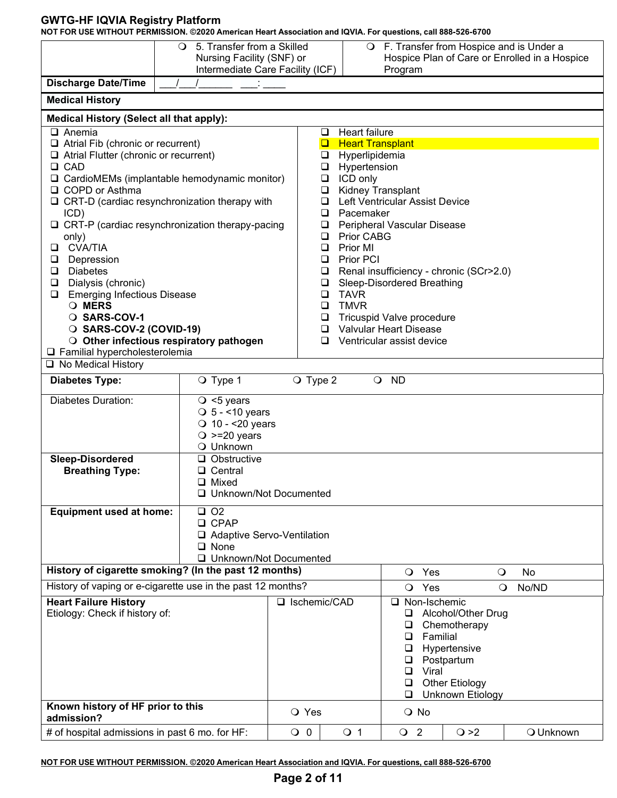**NOT FOR USE WITHOUT PERMISSION. ©2020 American Heart Association and IQVIA. For questions, call 888-526-6700**

|                                                                                   | 5. Transfer from a Skilled<br>$\circ$<br>Nursing Facility (SNF) or<br>Intermediate Care Facility (ICF) |                   |                            | $\cup$  | Program                                                   |                                                                                           | F. Transfer from Hospice and is Under a<br>Hospice Plan of Care or Enrolled in a Hospice |
|-----------------------------------------------------------------------------------|--------------------------------------------------------------------------------------------------------|-------------------|----------------------------|---------|-----------------------------------------------------------|-------------------------------------------------------------------------------------------|------------------------------------------------------------------------------------------|
| <b>Discharge Date/Time</b>                                                        |                                                                                                        |                   |                            |         |                                                           |                                                                                           |                                                                                          |
| <b>Medical History</b>                                                            |                                                                                                        |                   |                            |         |                                                           |                                                                                           |                                                                                          |
| <b>Medical History (Select all that apply):</b>                                   |                                                                                                        |                   |                            |         |                                                           |                                                                                           |                                                                                          |
| $\Box$ Anemia                                                                     |                                                                                                        |                   | Heart failure<br>❏         |         |                                                           |                                                                                           |                                                                                          |
| Atrial Fib (chronic or recurrent)<br>$\Box$ Atrial Flutter (chronic or recurrent) |                                                                                                        |                   | $\Box$<br>$\Box$           |         | <b>Heart Transplant</b><br>Hyperlipidemia                 |                                                                                           |                                                                                          |
| $\Box$ CAD                                                                        |                                                                                                        |                   | Hypertension<br>$\Box$     |         |                                                           |                                                                                           |                                                                                          |
| $\Box$ CardioMEMs (implantable hemodynamic monitor)<br>□ COPD or Asthma           |                                                                                                        |                   | ICD only<br>$\Box$<br>❏    |         | Kidney Transplant                                         |                                                                                           |                                                                                          |
| $\Box$ CRT-D (cardiac resynchronization therapy with                              |                                                                                                        |                   | ❏                          |         | Left Ventricular Assist Device                            |                                                                                           |                                                                                          |
| ICD)                                                                              |                                                                                                        |                   | Pacemaker<br>❏             |         |                                                           |                                                                                           |                                                                                          |
| $\Box$ CRT-P (cardiac resynchronization therapy-pacing<br>only)                   |                                                                                                        |                   | $\Box$<br>Prior CABG<br>□  |         | Peripheral Vascular Disease                               |                                                                                           |                                                                                          |
| <b>CVA/TIA</b><br>❏                                                               |                                                                                                        |                   | Prior MI<br>❏              |         |                                                           |                                                                                           |                                                                                          |
| Depression<br>❏<br><b>Diabetes</b><br>$\Box$                                      |                                                                                                        |                   | Prior PCI<br>$\Box$<br>❏   |         | Renal insufficiency - chronic (SCr>2.0)                   |                                                                                           |                                                                                          |
| Dialysis (chronic)<br>❏                                                           |                                                                                                        |                   | $\Box$                     |         | Sleep-Disordered Breathing                                |                                                                                           |                                                                                          |
| <b>Emerging Infectious Disease</b><br>❏                                           |                                                                                                        |                   | <b>TAVR</b><br>❏           |         |                                                           |                                                                                           |                                                                                          |
| O MERS<br>O SARS-COV-1                                                            |                                                                                                        |                   | <b>TMVR</b><br>$\Box$<br>□ |         | Tricuspid Valve procedure                                 |                                                                                           |                                                                                          |
| O SARS-COV-2 (COVID-19)                                                           |                                                                                                        |                   | ◻                          |         | <b>Valvular Heart Disease</b>                             |                                                                                           |                                                                                          |
| □ Familial hypercholesterolemia                                                   | O Other infectious respiratory pathogen                                                                |                   | $\Box$                     |         | Ventricular assist device                                 |                                                                                           |                                                                                          |
| □ No Medical History                                                              |                                                                                                        |                   |                            |         |                                                           |                                                                                           |                                                                                          |
| <b>Diabetes Type:</b>                                                             | O Type 1                                                                                               | $\bigcirc$ Type 2 |                            | $\circ$ | <b>ND</b>                                                 |                                                                                           |                                                                                          |
| <b>Diabetes Duration:</b>                                                         | $\circ$ <5 years<br>$\bigcirc$ 5 - <10 years<br>$\bigcirc$ 10 - <20 years<br>$\bigcirc$ >=20 years     |                   |                            |         |                                                           |                                                                                           |                                                                                          |
|                                                                                   | O Unknown                                                                                              |                   |                            |         |                                                           |                                                                                           |                                                                                          |
| Sleep-Disordered<br><b>Breathing Type:</b>                                        | $\Box$ Obstructive<br>□ Central                                                                        |                   |                            |         |                                                           |                                                                                           |                                                                                          |
|                                                                                   | □ Mixed<br>□ Unknown/Not Documented                                                                    |                   |                            |         |                                                           |                                                                                           |                                                                                          |
| <b>Equipment used at home:</b>                                                    | O <sub>2</sub><br>o.                                                                                   |                   |                            |         |                                                           |                                                                                           |                                                                                          |
|                                                                                   | □ CPAP<br>□ Adaptive Servo-Ventilation                                                                 |                   |                            |         |                                                           |                                                                                           |                                                                                          |
|                                                                                   | $\Box$ None                                                                                            |                   |                            |         |                                                           |                                                                                           |                                                                                          |
| History of cigarette smoking? (In the past 12 months)                             | □ Unknown/Not Documented                                                                               |                   |                            |         |                                                           |                                                                                           |                                                                                          |
| History of vaping or e-cigarette use in the past 12 months?                       |                                                                                                        |                   |                            |         | Yes<br>$\circ$<br>Yes<br>$\circ$                          | $\circ$<br>$\circ$                                                                        | No<br>No/ND                                                                              |
| <b>Heart Failure History</b>                                                      |                                                                                                        | □ Ischemic/CAD    |                            |         | □ Non-Ischemic                                            |                                                                                           |                                                                                          |
| Etiology: Check if history of:                                                    |                                                                                                        |                   |                            |         | ❏<br>❏<br>Familial<br>❏<br>u<br>❏<br>Viral<br>❏<br>$\Box$ | Alcohol/Other Drug<br>Chemotherapy<br>Hypertensive<br>Postpartum<br><b>Other Etiology</b> |                                                                                          |
| Known history of HF prior to this                                                 |                                                                                                        |                   |                            |         | ❏                                                         | <b>Unknown Etiology</b>                                                                   |                                                                                          |
| admission?                                                                        |                                                                                                        | O Yes             |                            |         | O No                                                      |                                                                                           |                                                                                          |
| # of hospital admissions in past 6 mo. for HF:                                    |                                                                                                        | $\overline{O}$ 0  | $\circ$ 1                  |         | $\overline{O}$ 2                                          | $\bigcirc$ >2                                                                             | O Unknown                                                                                |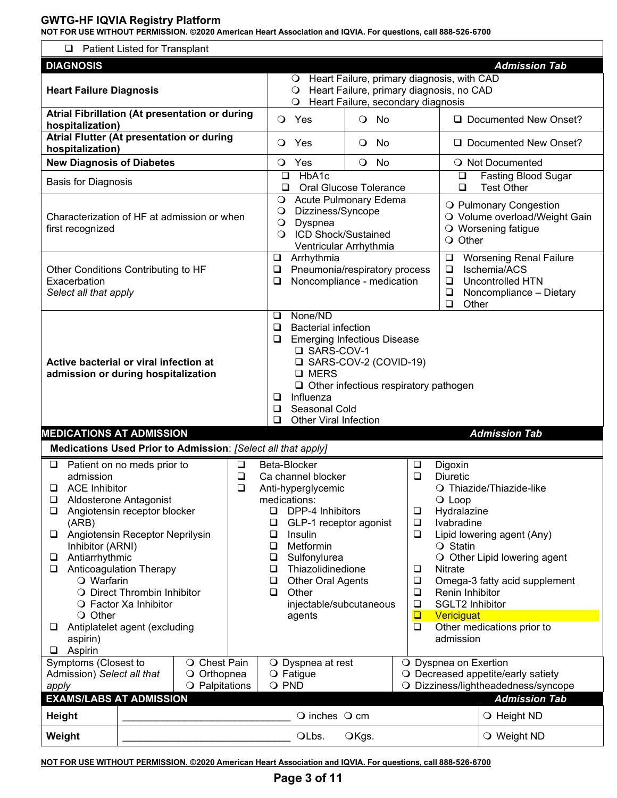**NOT FOR USE WITHOUT PERMISSION. ©2020 American Heart Association and IQVIA. For questions, call 888-526-6700**

| □                                                                                                                                                                                                | <b>Patient Listed for Transplant</b>                                                                                                                                                                                                         |                                                                                                                                                                                                       |                                                                                                                                                                                               |                                                                                                       |                                                                                                                                                                           |                                                                                                                                                       |
|--------------------------------------------------------------------------------------------------------------------------------------------------------------------------------------------------|----------------------------------------------------------------------------------------------------------------------------------------------------------------------------------------------------------------------------------------------|-------------------------------------------------------------------------------------------------------------------------------------------------------------------------------------------------------|-----------------------------------------------------------------------------------------------------------------------------------------------------------------------------------------------|-------------------------------------------------------------------------------------------------------|---------------------------------------------------------------------------------------------------------------------------------------------------------------------------|-------------------------------------------------------------------------------------------------------------------------------------------------------|
| <b>DIAGNOSIS</b>                                                                                                                                                                                 |                                                                                                                                                                                                                                              |                                                                                                                                                                                                       |                                                                                                                                                                                               |                                                                                                       |                                                                                                                                                                           | <b>Admission Tab</b>                                                                                                                                  |
| <b>Heart Failure Diagnosis</b>                                                                                                                                                                   |                                                                                                                                                                                                                                              | $\circ$<br>$\circ$                                                                                                                                                                                    | O Heart Failure, primary diagnosis, with CAD<br>Heart Failure, primary diagnosis, no CAD<br>Heart Failure, secondary diagnosis                                                                |                                                                                                       |                                                                                                                                                                           |                                                                                                                                                       |
| hospitalization)                                                                                                                                                                                 | Atrial Fibrillation (At presentation or during<br>Atrial Flutter (At presentation or during                                                                                                                                                  | Yes<br>$\circ$<br>$\circ$<br>Yes                                                                                                                                                                      | No<br>$\circ$<br>No<br>$\circ$                                                                                                                                                                |                                                                                                       |                                                                                                                                                                           | Documented New Onset?<br>Documented New Onset?                                                                                                        |
| hospitalization)                                                                                                                                                                                 |                                                                                                                                                                                                                                              |                                                                                                                                                                                                       |                                                                                                                                                                                               |                                                                                                       |                                                                                                                                                                           |                                                                                                                                                       |
| <b>New Diagnosis of Diabetes</b>                                                                                                                                                                 |                                                                                                                                                                                                                                              | Yes<br>$\circ$<br>❏                                                                                                                                                                                   | $\circ$<br>No<br>HbA1c                                                                                                                                                                        |                                                                                                       |                                                                                                                                                                           | O Not Documented                                                                                                                                      |
| <b>Basis for Diagnosis</b>                                                                                                                                                                       |                                                                                                                                                                                                                                              | ❏                                                                                                                                                                                                     | <b>Oral Glucose Tolerance</b>                                                                                                                                                                 |                                                                                                       | $\Box$<br>$\Box$                                                                                                                                                          | <b>Fasting Blood Sugar</b><br><b>Test Other</b>                                                                                                       |
| first recognized                                                                                                                                                                                 | Characterization of HF at admission or when                                                                                                                                                                                                  | $\circ$<br>O<br>$\bigcirc$<br>$\Omega$                                                                                                                                                                | Acute Pulmonary Edema<br>Dizziness/Syncope<br>Dyspnea<br><b>ICD Shock/Sustained</b><br>Ventricular Arrhythmia                                                                                 |                                                                                                       | O Other                                                                                                                                                                   | O Pulmonary Congestion<br>O Volume overload/Weight Gain<br>O Worsening fatigue                                                                        |
| Exacerbation<br>Select all that apply                                                                                                                                                            | Other Conditions Contributing to HF                                                                                                                                                                                                          | $\Box$<br>$\Box$<br>❏                                                                                                                                                                                 | Arrhythmia<br>Pneumonia/respiratory process<br>Noncompliance - medication                                                                                                                     |                                                                                                       | $\Box$<br>$\Box$<br>$\Box$<br>$\Box$<br>$\Box$<br>Other                                                                                                                   | <b>Worsening Renal Failure</b><br>Ischemia/ACS<br><b>Uncontrolled HTN</b><br>Noncompliance - Dietary                                                  |
|                                                                                                                                                                                                  | Active bacterial or viral infection at<br>admission or during hospitalization                                                                                                                                                                | □<br>❏<br>❏<br>❏                                                                                                                                                                                      | None/ND<br><b>Bacterial infection</b><br><b>Emerging Infectious Disease</b><br>□ SARS-COV-1<br>□ SARS-COV-2 (COVID-19)<br>□ MERS<br>$\Box$ Other infectious respiratory pathogen<br>Influenza |                                                                                                       |                                                                                                                                                                           |                                                                                                                                                       |
|                                                                                                                                                                                                  |                                                                                                                                                                                                                                              | ❏<br>$\Box$                                                                                                                                                                                           | Seasonal Cold<br><b>Other Viral Infection</b>                                                                                                                                                 |                                                                                                       |                                                                                                                                                                           |                                                                                                                                                       |
|                                                                                                                                                                                                  |                                                                                                                                                                                                                                              |                                                                                                                                                                                                       |                                                                                                                                                                                               |                                                                                                       |                                                                                                                                                                           | <b>Admission Tab</b>                                                                                                                                  |
| <b>MEDICATIONS AT ADMISSION</b>                                                                                                                                                                  | Medications Used Prior to Admission: [Select all that apply]                                                                                                                                                                                 |                                                                                                                                                                                                       |                                                                                                                                                                                               |                                                                                                       |                                                                                                                                                                           |                                                                                                                                                       |
| $\Box$<br>admission<br><b>ACE Inhibitor</b><br>$\Box$<br>⊔<br>❏<br>(ARB)<br>□<br>Inhibitor (ARNI)<br>Antiarrhythmic<br>□<br>⊔<br>$\bigcirc$ Warfarin<br>O Other<br>□<br>aspirin)<br>Aspirin<br>□ | Patient on no meds prior to<br>Aldosterone Antagonist<br>Angiotensin receptor blocker<br>Angiotensin Receptor Neprilysin<br>Anticoagulation Therapy<br>O Direct Thrombin Inhibitor<br>O Factor Xa Inhibitor<br>Antiplatelet agent (excluding | Beta-Blocker<br>❏<br>$\Box$<br>Ca channel blocker<br>$\Box$<br>Anti-hyperglycemic<br>medications:<br>◻<br>❏<br>Insulin<br>$\Box$<br>$\Box$<br>$\Box$<br>$\Box$<br>$\Box$<br>Other<br>$\Box$<br>agents | DPP-4 Inhibitors<br>GLP-1 receptor agonist<br>Metformin<br>Sulfonylurea<br>Thiazolidinedione<br><b>Other Oral Agents</b><br>injectable/subcutaneous                                           | $\Box$<br>$\Box$<br>$\Box$<br>$\Box$<br>❏<br>$\Box$<br>$\Box$<br>$\Box$<br>$\Box$<br>$\Box$<br>$\Box$ | Digoxin<br><b>Diuretic</b><br>O Loop<br>Hydralazine<br>Ivabradine<br>$\bigcirc$ Statin<br>Nitrate<br>Renin Inhibitor<br><b>SGLT2 Inhibitor</b><br>Vericiguat<br>admission | O Thiazide/Thiazide-like<br>Lipid lowering agent (Any)<br>O Other Lipid lowering agent<br>Omega-3 fatty acid supplement<br>Other medications prior to |
| Symptoms (Closest to<br>Admission) Select all that<br>apply                                                                                                                                      | O Chest Pain<br>Orthopnea<br>$\circ$<br>O Palpitations                                                                                                                                                                                       | $\bigcirc$ Fatigue<br>O PND                                                                                                                                                                           | O Dyspnea at rest                                                                                                                                                                             |                                                                                                       | O Dyspnea on Exertion                                                                                                                                                     | O Decreased appetite/early satiety<br>O Dizziness/lightheadedness/syncope                                                                             |
| <b>EXAMS/LABS AT ADMISSION</b>                                                                                                                                                                   |                                                                                                                                                                                                                                              |                                                                                                                                                                                                       |                                                                                                                                                                                               |                                                                                                       |                                                                                                                                                                           | <b>Admission Tab</b>                                                                                                                                  |
| <b>Height</b><br>Weight                                                                                                                                                                          |                                                                                                                                                                                                                                              |                                                                                                                                                                                                       | $\bigcirc$ inches $\bigcirc$ cm<br>OLbs.<br>OKgs.                                                                                                                                             |                                                                                                       |                                                                                                                                                                           | O Height ND<br>O Weight ND                                                                                                                            |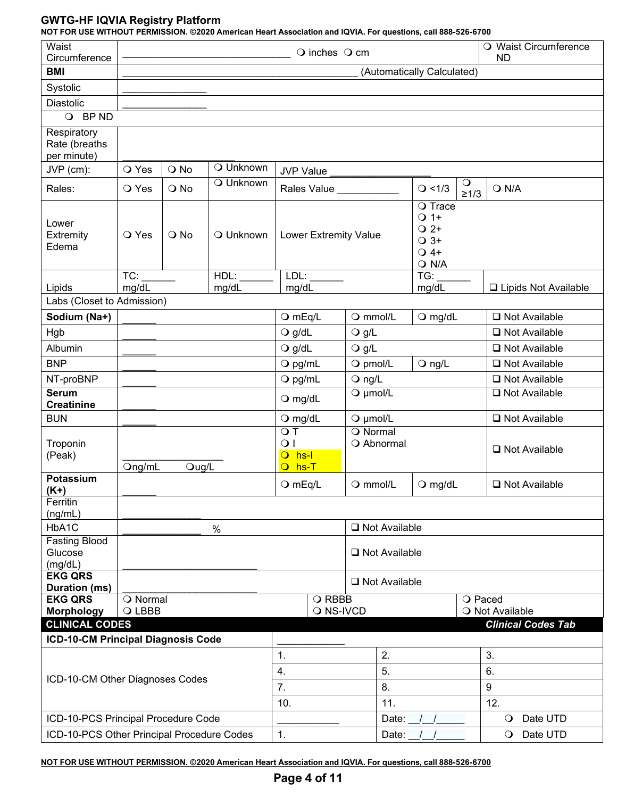**NOT FOR USE WITHOUT PERMISSION. ©2020 American Heart Association and IQVIA. For questions, call 888-526-6700**

| Waist<br>Circumference<br><b>BMI</b>        |                 | O Waist Circumference<br>$\bigcirc$ inches $\bigcirc$ cm<br><b>ND</b><br>(Automatically Calculated) |               |                                                                                  |                                     |                 |                                  |                           |  |
|---------------------------------------------|-----------------|-----------------------------------------------------------------------------------------------------|---------------|----------------------------------------------------------------------------------|-------------------------------------|-----------------|----------------------------------|---------------------------|--|
| Systolic                                    |                 |                                                                                                     |               |                                                                                  |                                     |                 |                                  |                           |  |
| <b>Diastolic</b>                            |                 |                                                                                                     |               |                                                                                  |                                     |                 |                                  |                           |  |
| BP ND<br>$\circ$                            |                 |                                                                                                     |               |                                                                                  |                                     |                 |                                  |                           |  |
| Respiratory<br>Rate (breaths<br>per minute) |                 |                                                                                                     |               |                                                                                  |                                     |                 |                                  |                           |  |
| JVP (cm):                                   | O Yes           | O No                                                                                                | O Unknown     | <b>JVP Value</b>                                                                 |                                     |                 |                                  |                           |  |
| Rales:                                      | O Yes           | O No                                                                                                | O Unknown     |                                                                                  | Rales Value _________               |                 | $\circ$<br>Q < 1/3<br>$\geq 1/3$ | $Q$ N/A                   |  |
| Lower<br>Extremity<br>Edema                 | O Yes           | $\bigcirc$ No                                                                                       | O Unknown     | O Trace<br>$Q_1$ 1+<br>$Q^2$<br>Lower Extremity Value<br>$\bigcirc$ 3+<br>$Q$ 4+ |                                     |                 | $O$ N/A                          |                           |  |
| Lipids                                      | TC:<br>mg/dL    |                                                                                                     | HDL:<br>mg/dL | LDL:<br>mg/dL                                                                    |                                     |                 | TG:<br>mg/dL                     | □ Lipids Not Available    |  |
| Labs (Closet to Admission)                  |                 |                                                                                                     |               |                                                                                  |                                     |                 |                                  |                           |  |
| Sodium (Na+)                                |                 |                                                                                                     |               | $O$ mEq/L                                                                        | O mmol/L                            |                 | $Q$ mg/dL                        | $\Box$ Not Available      |  |
| Hgb                                         |                 |                                                                                                     |               | $Q$ g/dL                                                                         | $\bigcirc$ g/L                      |                 |                                  | $\Box$ Not Available      |  |
| Albumin                                     |                 |                                                                                                     |               | $Q$ g/dL                                                                         | $\bigcirc$ g/L                      |                 |                                  | $\Box$ Not Available      |  |
| <b>BNP</b>                                  |                 |                                                                                                     |               | $O$ pg/mL                                                                        | O pmol/L                            |                 | $Q$ ng/L                         | □ Not Available           |  |
| NT-proBNP                                   |                 |                                                                                                     |               | $Q$ pg/mL                                                                        | $Q$ ng/L                            |                 |                                  | $\Box$ Not Available      |  |
| <b>Serum</b><br><b>Creatinine</b>           |                 |                                                                                                     |               | $O$ mg/dL                                                                        | $Q$ µmol/L                          |                 |                                  | □ Not Available           |  |
| <b>BUN</b>                                  |                 |                                                                                                     |               | $Q$ mg/dL                                                                        | $Q$ µmol/L                          |                 |                                  | □ Not Available           |  |
| Troponin<br>(Peak)                          | Ong/mL          | Oug/L                                                                                               |               | OT<br>$\overline{O}$<br>$\overline{O}$ hs-l<br>$O$ hs-T                          | $\overline{O}$ Normal<br>O Abnormal |                 |                                  | □ Not Available           |  |
| Potassium<br>$(K+)$                         |                 |                                                                                                     |               | $Q$ mEq/L                                                                        | $\bigcirc$ mmol/L                   |                 | $Q$ mg/dL                        | $\Box$ Not Available      |  |
| Ferritin                                    |                 |                                                                                                     |               |                                                                                  |                                     |                 |                                  |                           |  |
| (ng/mL)                                     |                 |                                                                                                     |               |                                                                                  |                                     |                 |                                  |                           |  |
| HbA1C<br><b>Fasting Blood</b>               |                 |                                                                                                     | $\%$          |                                                                                  |                                     | □ Not Available |                                  |                           |  |
| Glucose<br>(mg/dL)                          |                 |                                                                                                     |               |                                                                                  |                                     | □ Not Available |                                  |                           |  |
| <b>EKG QRS</b><br>Duration (ms)             |                 |                                                                                                     |               |                                                                                  |                                     | □ Not Available |                                  |                           |  |
| <b>EKG QRS</b>                              | <b>O</b> Normal |                                                                                                     |               |                                                                                  | O RBBB                              |                 |                                  | O Paced                   |  |
| <b>Morphology</b>                           | O LBBB          |                                                                                                     |               |                                                                                  | O NS-IVCD                           |                 |                                  | O Not Available           |  |
| <b>CLINICAL CODES</b>                       |                 |                                                                                                     |               |                                                                                  |                                     |                 |                                  | <b>Clinical Codes Tab</b> |  |
| ICD-10-CM Principal Diagnosis Code          |                 |                                                                                                     |               |                                                                                  |                                     |                 |                                  |                           |  |
|                                             |                 |                                                                                                     |               | 1.                                                                               |                                     | 2.              |                                  | 3.                        |  |
| ICD-10-CM Other Diagnoses Codes             |                 |                                                                                                     |               | 4.                                                                               |                                     | 5.              |                                  | 6.                        |  |
|                                             |                 |                                                                                                     |               | 7.                                                                               |                                     | 8.              |                                  | $\boldsymbol{9}$          |  |
|                                             |                 |                                                                                                     |               | 10.                                                                              |                                     | 11.             |                                  | 12.                       |  |
| ICD-10-PCS Principal Procedure Code         |                 |                                                                                                     |               |                                                                                  |                                     | Date:           |                                  | Date UTD<br>$\circ$       |  |
| ICD-10-PCS Other Principal Procedure Codes  |                 |                                                                                                     |               | 1.                                                                               |                                     | Date:           |                                  | Date UTD<br>$\circ$       |  |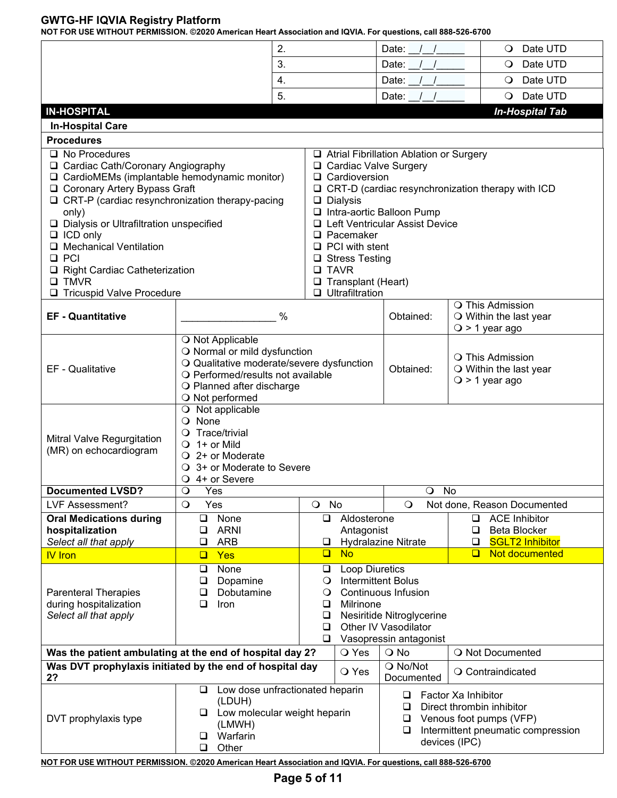|                                                                                                                                                                                                                                                                                                                                                                                                                                     | 2.                                                                                                                                                                                                                                                                                                                                                                             |             |                           | Date:                                                                                       | Date UTD<br>$\circ$                                                                                                                |  |  |
|-------------------------------------------------------------------------------------------------------------------------------------------------------------------------------------------------------------------------------------------------------------------------------------------------------------------------------------------------------------------------------------------------------------------------------------|--------------------------------------------------------------------------------------------------------------------------------------------------------------------------------------------------------------------------------------------------------------------------------------------------------------------------------------------------------------------------------|-------------|---------------------------|---------------------------------------------------------------------------------------------|------------------------------------------------------------------------------------------------------------------------------------|--|--|
|                                                                                                                                                                                                                                                                                                                                                                                                                                     | 3.                                                                                                                                                                                                                                                                                                                                                                             |             |                           | Date:                                                                                       | Date UTD<br>$\circ$                                                                                                                |  |  |
|                                                                                                                                                                                                                                                                                                                                                                                                                                     | 4.                                                                                                                                                                                                                                                                                                                                                                             |             |                           | Date:                                                                                       | Date UTD<br>$\circ$                                                                                                                |  |  |
|                                                                                                                                                                                                                                                                                                                                                                                                                                     | 5.                                                                                                                                                                                                                                                                                                                                                                             |             |                           | Date: $/$ /                                                                                 | $\circ$<br>Date UTD                                                                                                                |  |  |
| <b>IN-HOSPITAL</b>                                                                                                                                                                                                                                                                                                                                                                                                                  |                                                                                                                                                                                                                                                                                                                                                                                |             |                           |                                                                                             | <b>In-Hospital Tab</b>                                                                                                             |  |  |
| <b>In-Hospital Care</b>                                                                                                                                                                                                                                                                                                                                                                                                             |                                                                                                                                                                                                                                                                                                                                                                                |             |                           |                                                                                             |                                                                                                                                    |  |  |
| <b>Procedures</b>                                                                                                                                                                                                                                                                                                                                                                                                                   |                                                                                                                                                                                                                                                                                                                                                                                |             |                           |                                                                                             |                                                                                                                                    |  |  |
| $\Box$ No Procedures<br>□ Cardiac Cath/Coronary Angiography<br>$\Box$ CardioMEMs (implantable hemodynamic monitor)<br>□ Coronary Artery Bypass Graft<br>$\Box$ CRT-P (cardiac resynchronization therapy-pacing<br>only)<br>□ Dialysis or Ultrafiltration unspecified<br>$\Box$ ICD only<br><b>Mechanical Ventilation</b><br>$\Box$ PCI<br><b>Right Cardiac Catheterization</b><br><b>Q TMVR</b><br><b>Tricuspid Valve Procedure</b> | □ Atrial Fibrillation Ablation or Surgery<br>□ Cardiac Valve Surgery<br>$\Box$ Cardioversion<br>$\Box$ CRT-D (cardiac resynchronization therapy with ICD<br>$\Box$ Dialysis<br>□ Intra-aortic Balloon Pump<br>□ Left Ventricular Assist Device<br>$\Box$ Pacemaker<br>$\Box$ PCI with stent<br>□ Stress Testing<br>$\Box$ TAVR<br>Transplant (Heart)<br>$\Box$ Ultrafiltration |             |                           |                                                                                             |                                                                                                                                    |  |  |
| <b>EF - Quantitative</b>                                                                                                                                                                                                                                                                                                                                                                                                            | %                                                                                                                                                                                                                                                                                                                                                                              |             |                           | Obtained:                                                                                   | O This Admission<br>$\bigcirc$ Within the last year<br>$Q > 1$ year ago                                                            |  |  |
| O Not Applicable<br>O Normal or mild dysfunction<br>O Qualitative moderate/severe dysfunction<br>EF - Qualitative<br>O Performed/results not available<br>O Planned after discharge<br>O Not performed                                                                                                                                                                                                                              |                                                                                                                                                                                                                                                                                                                                                                                |             |                           | <b>O</b> This Admission<br>Obtained:<br>$\bigcirc$ Within the last year<br>$Q > 1$ year ago |                                                                                                                                    |  |  |
| Mitral Valve Regurgitation<br>(MR) on echocardiogram                                                                                                                                                                                                                                                                                                                                                                                | $\overline{O}$ Not applicable<br>O None<br>Trace/trivial<br>$\bigcirc$ 1+ or Mild<br>$\bigcirc$ 2+ or Moderate<br>○ 3+ or Moderate to Severe<br>Q 4+ or Severe                                                                                                                                                                                                                 |             |                           |                                                                                             |                                                                                                                                    |  |  |
| <b>Documented LVSD?</b>                                                                                                                                                                                                                                                                                                                                                                                                             | O Yes                                                                                                                                                                                                                                                                                                                                                                          |             |                           | $\bigcirc$<br>No                                                                            |                                                                                                                                    |  |  |
| LVF Assessment?                                                                                                                                                                                                                                                                                                                                                                                                                     | $\circ$<br>Yes                                                                                                                                                                                                                                                                                                                                                                 | O No        |                           | $\circ$                                                                                     | Not done, Reason Documented                                                                                                        |  |  |
| <b>Oral Medications during</b><br>hospitalization<br>Select all that apply                                                                                                                                                                                                                                                                                                                                                          | None<br>❏<br><b>ARNI</b><br>❏<br>❏<br><b>ARB</b>                                                                                                                                                                                                                                                                                                                               | $\Box$<br>⊔ | Aldosterone<br>Antagonist | <b>Hydralazine Nitrate</b>                                                                  | <b>ACE Inhibitor</b><br>0<br><b>Beta Blocker</b><br>❏<br><b>SGLT2 Inhibitor</b><br>❏                                               |  |  |
| <b>IV</b> Iron                                                                                                                                                                                                                                                                                                                                                                                                                      | Yes<br>$\Box$                                                                                                                                                                                                                                                                                                                                                                  | $\Box$      | <b>No</b>                 |                                                                                             | Not documented<br>□                                                                                                                |  |  |
| <b>Parenteral Therapies</b><br>during hospitalization<br>Select all that apply                                                                                                                                                                                                                                                                                                                                                      | <b>Loop Diuretics</b><br>None<br>$\Box$<br>❏<br><b>Intermittent Bolus</b><br>$\Box$<br>Dopamine<br>$\circ$<br>Continuous Infusion<br>Dobutamine<br>❏<br>$\circ$<br>❏<br>❏<br>Milrinone<br>Iron<br>Nesiritide Nitroglycerine<br>$\Box$<br>Other IV Vasodilator<br>❏<br>Vasopressin antagonist<br>⊔                                                                              |             |                           |                                                                                             |                                                                                                                                    |  |  |
| Was the patient ambulating at the end of hospital day 2?                                                                                                                                                                                                                                                                                                                                                                            |                                                                                                                                                                                                                                                                                                                                                                                |             | O Yes                     | $\bigcirc$ No                                                                               | O Not Documented                                                                                                                   |  |  |
| Was DVT prophylaxis initiated by the end of hospital day<br>2?                                                                                                                                                                                                                                                                                                                                                                      |                                                                                                                                                                                                                                                                                                                                                                                |             | O Yes                     | O No/Not<br>Documented                                                                      | O Contraindicated                                                                                                                  |  |  |
| DVT prophylaxis type<br>NOT FOR USE WITHOUT PERMISSION. @2020 American Heart Association and IQVIA. For questions, call 888-526-6700                                                                                                                                                                                                                                                                                                | Low dose unfractionated heparin<br>❏<br>(LDUH)<br>Low molecular weight heparin<br>⊔<br>(LMWH)<br>Warfarin<br>❏<br>Other<br>❏                                                                                                                                                                                                                                                   |             |                           | ❏<br>$\Box$<br>$\Box$<br>$\Box$                                                             | Factor Xa Inhibitor<br>Direct thrombin inhibitor<br>Venous foot pumps (VFP)<br>Intermittent pneumatic compression<br>devices (IPC) |  |  |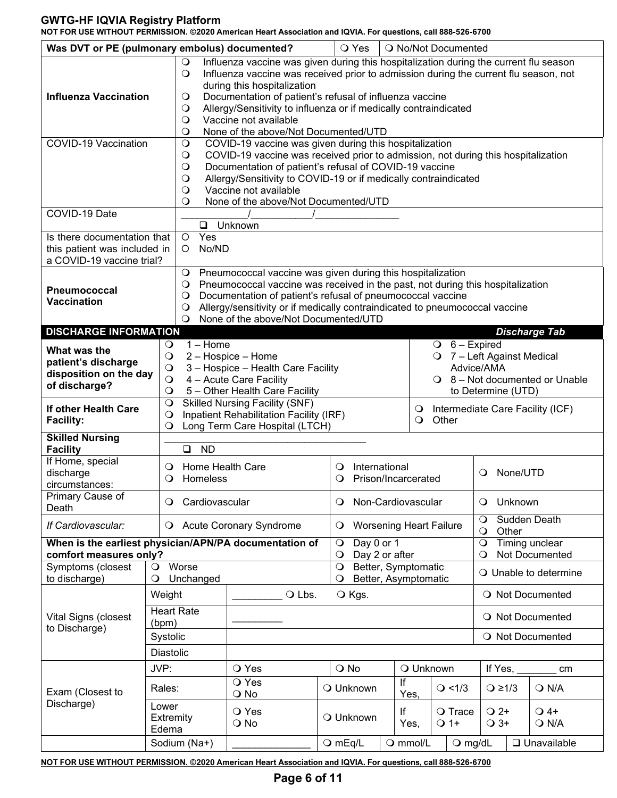**NOT FOR USE WITHOUT PERMISSION. ©2020 American Heart Association and IQVIA. For questions, call 888-526-6700**

| Was DVT or PE (pulmonary embolus) documented?                                            |                              |                                                                                                                                                                                                              | O Yes                            |                                          | O No/Not Documented                         |                    |                                  |                                  |  |
|------------------------------------------------------------------------------------------|------------------------------|--------------------------------------------------------------------------------------------------------------------------------------------------------------------------------------------------------------|----------------------------------|------------------------------------------|---------------------------------------------|--------------------|----------------------------------|----------------------------------|--|
|                                                                                          | $\circ$<br>$\circ$           | Influenza vaccine was given during this hospitalization during the current flu season<br>Influenza vaccine was received prior to admission during the current flu season, not<br>during this hospitalization |                                  |                                          |                                             |                    |                                  |                                  |  |
| <b>Influenza Vaccination</b>                                                             | $\circ$                      | Documentation of patient's refusal of influenza vaccine                                                                                                                                                      |                                  |                                          |                                             |                    |                                  |                                  |  |
|                                                                                          | $\circ$<br>$\circ$           | Allergy/Sensitivity to influenza or if medically contraindicated<br>Vaccine not available                                                                                                                    |                                  |                                          |                                             |                    |                                  |                                  |  |
|                                                                                          | $\circ$                      | None of the above/Not Documented/UTD                                                                                                                                                                         |                                  |                                          |                                             |                    |                                  |                                  |  |
| COVID-19 Vaccination                                                                     | $\circ$                      | COVID-19 vaccine was given during this hospitalization                                                                                                                                                       |                                  |                                          |                                             |                    |                                  |                                  |  |
|                                                                                          | $\bigcirc$                   | COVID-19 vaccine was received prior to admission, not during this hospitalization                                                                                                                            |                                  |                                          |                                             |                    |                                  |                                  |  |
|                                                                                          | $\bigcirc$                   | Documentation of patient's refusal of COVID-19 vaccine                                                                                                                                                       |                                  |                                          |                                             |                    |                                  |                                  |  |
|                                                                                          | $\circ$<br>$\circ$           | Allergy/Sensitivity to COVID-19 or if medically contraindicated<br>Vaccine not available                                                                                                                     |                                  |                                          |                                             |                    |                                  |                                  |  |
|                                                                                          | O                            | None of the above/Not Documented/UTD                                                                                                                                                                         |                                  |                                          |                                             |                    |                                  |                                  |  |
| COVID-19 Date                                                                            |                              |                                                                                                                                                                                                              |                                  |                                          |                                             |                    |                                  |                                  |  |
|                                                                                          |                              | □ Unknown                                                                                                                                                                                                    |                                  |                                          |                                             |                    |                                  |                                  |  |
| Is there documentation that<br>this patient was included in<br>a COVID-19 vaccine trial? | Yes<br>$\circ$<br>No/ND<br>O |                                                                                                                                                                                                              |                                  |                                          |                                             |                    |                                  |                                  |  |
|                                                                                          | $\circ$                      | Pneumococcal vaccine was given during this hospitalization                                                                                                                                                   |                                  |                                          |                                             |                    |                                  |                                  |  |
| Pneumococcal                                                                             | $\circ$                      | Pneumococcal vaccine was received in the past, not during this hospitalization                                                                                                                               |                                  |                                          |                                             |                    |                                  |                                  |  |
| Vaccination                                                                              | $\circ$                      | Documentation of patient's refusal of pneumococcal vaccine<br>Allergy/sensitivity or if medically contraindicated to pneumococcal vaccine                                                                    |                                  |                                          |                                             |                    |                                  |                                  |  |
|                                                                                          | $\circ$<br>O                 | None of the above/Not Documented/UTD                                                                                                                                                                         |                                  |                                          |                                             |                    |                                  |                                  |  |
| <b>DISCHARGE INFORMATION</b>                                                             |                              |                                                                                                                                                                                                              |                                  |                                          |                                             |                    |                                  | <b>Discharge Tab</b>             |  |
| What was the                                                                             | $1 -$ Home<br>$\circ$        |                                                                                                                                                                                                              |                                  |                                          |                                             | $O_6 -$ Expired    |                                  |                                  |  |
| patient's discharge                                                                      | $\circ$                      | 2 - Hospice - Home                                                                                                                                                                                           |                                  | O 7 - Left Against Medical<br>Advice/AMA |                                             |                    |                                  |                                  |  |
| disposition on the day                                                                   | $\circ$<br>$\circ$           | 3 - Hospice - Health Care Facility<br>4 - Acute Care Facility                                                                                                                                                |                                  | $\bigcirc$ 8 – Not documented or Unable  |                                             |                    |                                  |                                  |  |
| of discharge?                                                                            | $\circ$                      | 5 - Other Health Care Facility                                                                                                                                                                               |                                  |                                          |                                             | to Determine (UTD) |                                  |                                  |  |
| If other Health Care                                                                     | $\circ$                      | <b>Skilled Nursing Facility (SNF)</b>                                                                                                                                                                        |                                  |                                          | Intermediate Care Facility (ICF)<br>$\circ$ |                    |                                  |                                  |  |
| <b>Facility:</b>                                                                         | $\circ$<br>$\circ$           | Inpatient Rehabilitation Facility (IRF)<br>Long Term Care Hospital (LTCH)                                                                                                                                    |                                  |                                          | Other<br>$\mathbf O$                        |                    |                                  |                                  |  |
| <b>Skilled Nursing</b><br><b>Facility</b>                                                | <b>ND</b><br>$\Box$          |                                                                                                                                                                                                              |                                  |                                          |                                             |                    |                                  |                                  |  |
| If Home, special                                                                         | Home Health Care<br>$\circ$  |                                                                                                                                                                                                              | Ő                                | International                            |                                             |                    |                                  |                                  |  |
| discharge<br>circumstances:                                                              | Homeless<br>$\circ$          |                                                                                                                                                                                                              | Ő                                | Prison/Incarcerated                      |                                             |                    | None/UTD<br>$\circ$              |                                  |  |
| Primary Cause of                                                                         |                              |                                                                                                                                                                                                              |                                  |                                          |                                             |                    |                                  |                                  |  |
| Death                                                                                    | Cardiovascular<br>$\circ$    |                                                                                                                                                                                                              | $\circ$                          |                                          | Non-Cardiovascular                          | $\mathbf O$        | Unknown                          |                                  |  |
| If Cardiovascular:                                                                       | $\bullet$                    | <b>Acute Coronary Syndrome</b>                                                                                                                                                                               | $\circ$                          |                                          | <b>Worsening Heart Failure</b>              | $\circ$<br>$\circ$ | Other                            | Sudden Death                     |  |
| When is the earliest physician/APN/PA documentation of<br>comfort measures only?         |                              |                                                                                                                                                                                                              | Day 0 or 1<br>$\circ$<br>$\circ$ | Day 2 or after                           |                                             | $\circ$<br>$\circ$ |                                  | Timing unclear<br>Not Documented |  |
| Symptoms (closest                                                                        | Worse<br>$\circ$             |                                                                                                                                                                                                              | $\circ$                          |                                          | Better, Symptomatic                         |                    |                                  | O Unable to determine            |  |
| to discharge)                                                                            | Unchanged<br>$\circ$         |                                                                                                                                                                                                              | O                                |                                          | Better, Asymptomatic                        |                    |                                  |                                  |  |
|                                                                                          | Weight<br><b>Heart Rate</b>  | O Lbs.                                                                                                                                                                                                       | O Kgs.                           |                                          |                                             |                    |                                  | O Not Documented                 |  |
| Vital Signs (closest                                                                     | (bpm)                        |                                                                                                                                                                                                              |                                  |                                          |                                             |                    |                                  | O Not Documented                 |  |
| to Discharge)                                                                            | Systolic                     |                                                                                                                                                                                                              |                                  |                                          |                                             |                    |                                  | O Not Documented                 |  |
|                                                                                          | Diastolic                    |                                                                                                                                                                                                              |                                  |                                          |                                             |                    |                                  |                                  |  |
|                                                                                          | JVP:                         | O Yes                                                                                                                                                                                                        | O No                             |                                          | O Unknown                                   |                    | If Yes, $\overline{\phantom{a}}$ | cm                               |  |
| Exam (Closest to                                                                         | Rales:                       | O Yes<br>$\bigcirc$ No                                                                                                                                                                                       | O Unknown                        | If                                       | Yes,                                        | Q < 1/3            | $Q \geq 1/3$                     | $Q$ N/A                          |  |
| Discharge)                                                                               | Lower                        |                                                                                                                                                                                                              |                                  |                                          |                                             |                    |                                  |                                  |  |
|                                                                                          | Extremity                    | O Yes<br>O No                                                                                                                                                                                                | O Unknown                        | lf                                       | $\bigcirc$ 1+<br>Yes,                       | O Trace            | $Q^2$<br>$\bigcirc$ 3+           | $\bigcirc$ 4+<br>$Q$ N/A         |  |
|                                                                                          | Edema                        |                                                                                                                                                                                                              |                                  |                                          |                                             |                    |                                  |                                  |  |
|                                                                                          | Sodium (Na+)                 |                                                                                                                                                                                                              | $O$ mEq/L                        | O mmol/L                                 |                                             | $Q$ mg/dL          |                                  | $\Box$ Unavailable               |  |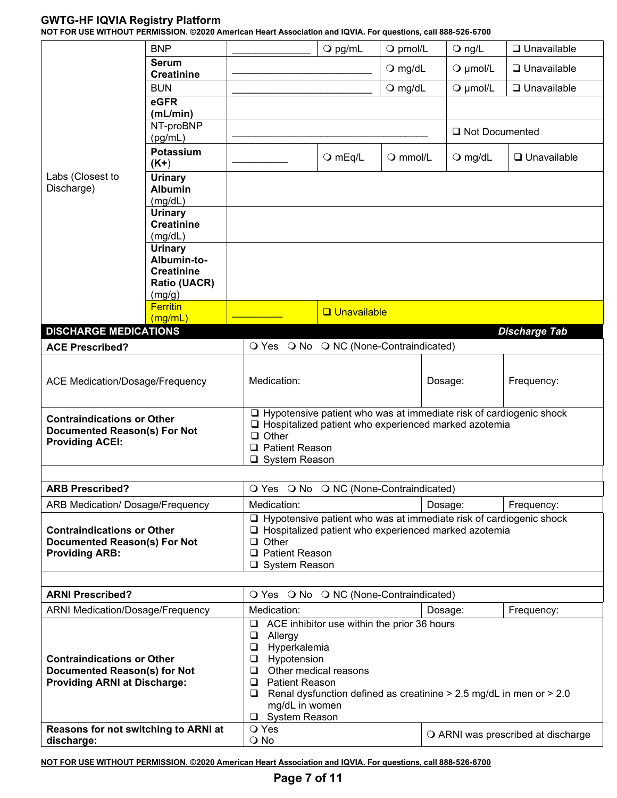**NOT FOR USE WITHOUT PERMISSION. ©2020 American Heart Association and IQVIA. For questions, call 888-526-6700**

|                                                                                                                 | <b>BNP</b>                                                                                                                                                            |                                                                                                                                                                                            | $\bigcirc$ pg/mL     | O pmol/L                                                                | $\bigcirc$ ng/L                                                                                                                     | $\Box$ Unavailable   |  |
|-----------------------------------------------------------------------------------------------------------------|-----------------------------------------------------------------------------------------------------------------------------------------------------------------------|--------------------------------------------------------------------------------------------------------------------------------------------------------------------------------------------|----------------------|-------------------------------------------------------------------------|-------------------------------------------------------------------------------------------------------------------------------------|----------------------|--|
|                                                                                                                 | <b>Serum</b>                                                                                                                                                          |                                                                                                                                                                                            |                      | $\bigcirc$ mg/dL                                                        | $Q$ µmol/L                                                                                                                          | $\Box$ Unavailable   |  |
|                                                                                                                 | <b>Creatinine</b><br><b>BUN</b>                                                                                                                                       |                                                                                                                                                                                            |                      | $O$ mg/dL                                                               | $Q$ µmol/L                                                                                                                          | $\Box$ Unavailable   |  |
|                                                                                                                 | eGFR                                                                                                                                                                  |                                                                                                                                                                                            |                      |                                                                         |                                                                                                                                     |                      |  |
|                                                                                                                 | (mL/min)<br>NT-proBNP                                                                                                                                                 |                                                                                                                                                                                            |                      |                                                                         |                                                                                                                                     |                      |  |
|                                                                                                                 | (pg/mL)                                                                                                                                                               |                                                                                                                                                                                            |                      |                                                                         | □ Not Documented                                                                                                                    |                      |  |
|                                                                                                                 | <b>Potassium</b><br>$(K+)$                                                                                                                                            |                                                                                                                                                                                            | $O$ mEq/L            | $Q$ mmol/L                                                              | $\bigcirc$ mg/dL                                                                                                                    | $\Box$ Unavailable   |  |
| Labs (Closest to<br>Discharge)                                                                                  | <b>Urinary</b><br><b>Albumin</b><br>(mg/dL)<br><b>Urinary</b><br><b>Creatinine</b>                                                                                    |                                                                                                                                                                                            |                      |                                                                         |                                                                                                                                     |                      |  |
|                                                                                                                 | (mg/dL)<br><b>Urinary</b><br>Albumin-to-<br><b>Creatinine</b><br><b>Ratio (UACR)</b><br>(mg/g)                                                                        |                                                                                                                                                                                            |                      |                                                                         |                                                                                                                                     |                      |  |
|                                                                                                                 | <b>Ferritin</b>                                                                                                                                                       |                                                                                                                                                                                            | <b>Q</b> Unavailable |                                                                         |                                                                                                                                     |                      |  |
| <b>DISCHARGE MEDICATIONS</b>                                                                                    | (mg/mL)                                                                                                                                                               |                                                                                                                                                                                            |                      |                                                                         |                                                                                                                                     | <b>Discharge Tab</b> |  |
| <b>ACE Prescribed?</b>                                                                                          |                                                                                                                                                                       | O Yes O No O NC (None-Contraindicated)                                                                                                                                                     |                      |                                                                         |                                                                                                                                     |                      |  |
| <b>ACE Medication/Dosage/Frequency</b>                                                                          |                                                                                                                                                                       | Medication:                                                                                                                                                                                |                      | Dosage:                                                                 | Frequency:                                                                                                                          |                      |  |
| <b>Contraindications or Other</b><br><b>Documented Reason(s) For Not</b><br><b>Providing ACEI:</b>              |                                                                                                                                                                       | $\Box$ Other<br>□ Patient Reason<br>□ System Reason                                                                                                                                        |                      |                                                                         | $\Box$ Hypotensive patient who was at immediate risk of cardiogenic shock<br>□ Hospitalized patient who experienced marked azotemia |                      |  |
| <b>ARB Prescribed?</b>                                                                                          |                                                                                                                                                                       | O Yes O No O NC (None-Contraindicated)                                                                                                                                                     |                      |                                                                         |                                                                                                                                     |                      |  |
| ARB Medication/ Dosage/Frequency                                                                                |                                                                                                                                                                       | Medication:                                                                                                                                                                                |                      |                                                                         | Dosage:<br>Frequency:                                                                                                               |                      |  |
| <b>Contraindications or Other</b><br><b>Documented Reason(s) For Not</b><br><b>Providing ARB:</b>               |                                                                                                                                                                       | $\Box$ Hypotensive patient who was at immediate risk of cardiogenic shock<br>□ Hospitalized patient who experienced marked azotemia<br>$\Box$ Other<br>□ Patient Reason<br>□ System Reason |                      |                                                                         |                                                                                                                                     |                      |  |
| <b>ARNI Prescribed?</b>                                                                                         |                                                                                                                                                                       | O Yes O No O NC (None-Contraindicated)                                                                                                                                                     |                      |                                                                         |                                                                                                                                     |                      |  |
| <b>ARNI Medication/Dosage/Frequency</b>                                                                         |                                                                                                                                                                       | Medication:                                                                                                                                                                                |                      |                                                                         | Dosage:                                                                                                                             | Frequency:           |  |
| <b>Contraindications or Other</b><br><b>Documented Reason(s) for Not</b><br><b>Providing ARNI at Discharge:</b> | ❏<br>$\Box$<br>Allergy<br>Hyperkalemia<br>$\Box$<br>Hypotension<br>$\Box$<br>$\Box$<br>$\Box$<br><b>Patient Reason</b><br>$\Box$<br>mg/dL in women<br>□ System Reason | ACE inhibitor use within the prior 36 hours<br>Other medical reasons                                                                                                                       |                      | Renal dysfunction defined as creatinine $> 2.5$ mg/dL in men or $> 2.0$ |                                                                                                                                     |                      |  |
| Reasons for not switching to ARNI at<br>discharge:                                                              | O Yes<br>$\bigcirc$ No                                                                                                                                                |                                                                                                                                                                                            |                      |                                                                         | O ARNI was prescribed at discharge                                                                                                  |                      |  |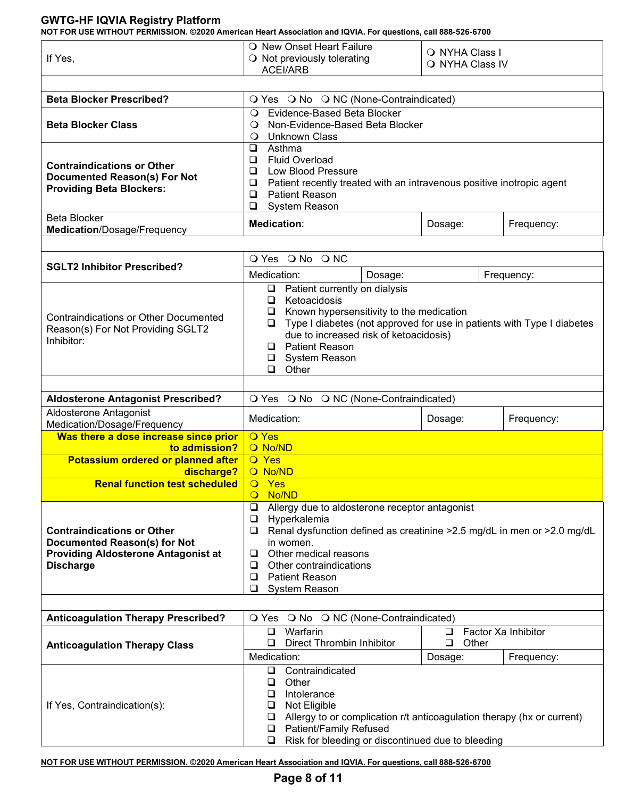**NOT FOR USE WITHOUT PERMISSION. ©2020 American Heart Association and IQVIA. For questions, call 888-526-6700**

| OT FOR OSE WITHOUT FERMISSION. @2020 AMERICAN HEAL ASSOCIATION AND IQVIA. FOR QUESTIONS, CAN 000-320-07 00 |                                                                                                               |                 |                     |  |  |  |  |  |
|------------------------------------------------------------------------------------------------------------|---------------------------------------------------------------------------------------------------------------|-----------------|---------------------|--|--|--|--|--|
|                                                                                                            | O New Onset Heart Failure                                                                                     | O NYHA Class I  |                     |  |  |  |  |  |
| If Yes,                                                                                                    | O Not previously tolerating                                                                                   | O NYHA Class IV |                     |  |  |  |  |  |
|                                                                                                            | <b>ACEI/ARB</b>                                                                                               |                 |                     |  |  |  |  |  |
|                                                                                                            |                                                                                                               |                 |                     |  |  |  |  |  |
| <b>Beta Blocker Prescribed?</b>                                                                            | O Yes O No O NC (None-Contraindicated)                                                                        |                 |                     |  |  |  |  |  |
|                                                                                                            | Evidence-Based Beta Blocker<br>$\circ$                                                                        |                 |                     |  |  |  |  |  |
| <b>Beta Blocker Class</b>                                                                                  | Non-Evidence-Based Beta Blocker<br>$\circ$                                                                    |                 |                     |  |  |  |  |  |
|                                                                                                            | <b>Unknown Class</b><br>$\circ$<br>Asthma                                                                     |                 |                     |  |  |  |  |  |
|                                                                                                            | ❏<br><b>Fluid Overload</b><br>❏                                                                               |                 |                     |  |  |  |  |  |
| <b>Contraindications or Other</b>                                                                          | $\Box$<br>Low Blood Pressure                                                                                  |                 |                     |  |  |  |  |  |
| <b>Documented Reason(s) For Not</b>                                                                        | $\Box$<br>Patient recently treated with an intravenous positive inotropic agent                               |                 |                     |  |  |  |  |  |
| <b>Providing Beta Blockers:</b>                                                                            | <b>Patient Reason</b><br>$\Box$                                                                               |                 |                     |  |  |  |  |  |
|                                                                                                            | $\Box$<br>System Reason                                                                                       |                 |                     |  |  |  |  |  |
| <b>Beta Blocker</b>                                                                                        | <b>Medication:</b>                                                                                            | Dosage:         | Frequency:          |  |  |  |  |  |
| Medication/Dosage/Frequency                                                                                |                                                                                                               |                 |                     |  |  |  |  |  |
|                                                                                                            | O Yes O No O NC                                                                                               |                 |                     |  |  |  |  |  |
| <b>SGLT2 Inhibitor Prescribed?</b>                                                                         |                                                                                                               |                 |                     |  |  |  |  |  |
|                                                                                                            | Medication:<br>Dosage:<br>Patient currently on dialysis<br>$\Box$                                             |                 | Frequency:          |  |  |  |  |  |
|                                                                                                            | Ketoacidosis<br>❏                                                                                             |                 |                     |  |  |  |  |  |
|                                                                                                            | Known hypersensitivity to the medication<br>⊔                                                                 |                 |                     |  |  |  |  |  |
| <b>Contraindications or Other Documented</b><br>Reason(s) For Not Providing SGLT2                          | Type I diabetes (not approved for use in patients with Type I diabetes<br>⊔                                   |                 |                     |  |  |  |  |  |
| Inhibitor:                                                                                                 | due to increased risk of ketoacidosis)                                                                        |                 |                     |  |  |  |  |  |
|                                                                                                            | <b>Q</b> Patient Reason                                                                                       |                 |                     |  |  |  |  |  |
|                                                                                                            | □ System Reason<br>$\Box$ Other                                                                               |                 |                     |  |  |  |  |  |
|                                                                                                            |                                                                                                               |                 |                     |  |  |  |  |  |
| <b>Aldosterone Antagonist Prescribed?</b>                                                                  | O Yes O No O NC (None-Contraindicated)                                                                        |                 |                     |  |  |  |  |  |
| Aldosterone Antagonist                                                                                     | Medication:                                                                                                   | Dosage:         | Frequency:          |  |  |  |  |  |
| Medication/Dosage/Frequency                                                                                |                                                                                                               |                 |                     |  |  |  |  |  |
| Was there a dose increase since prior<br>to admission?                                                     | <b>O</b> Yes<br>O No/ND                                                                                       |                 |                     |  |  |  |  |  |
| Potassium ordered or planned after                                                                         | <b>O</b> Yes                                                                                                  |                 |                     |  |  |  |  |  |
| discharge?                                                                                                 | O No/ND                                                                                                       |                 |                     |  |  |  |  |  |
| <b>Renal function test scheduled</b>                                                                       | $\overline{O}$ Yes                                                                                            |                 |                     |  |  |  |  |  |
|                                                                                                            | No/ND<br>$\mathbf{O}$                                                                                         |                 |                     |  |  |  |  |  |
|                                                                                                            | Allergy due to aldosterone receptor antagonist<br>$\Box$                                                      |                 |                     |  |  |  |  |  |
| <b>Contraindications or Other</b>                                                                          | $\Box$<br>Hyperkalemia<br>Renal dysfunction defined as creatinine > 2.5 mg/dL in men or > 2.0 mg/dL<br>$\Box$ |                 |                     |  |  |  |  |  |
| <b>Documented Reason(s) for Not</b>                                                                        | in women.                                                                                                     |                 |                     |  |  |  |  |  |
| <b>Providing Aldosterone Antagonist at</b>                                                                 | Other medical reasons<br>u                                                                                    |                 |                     |  |  |  |  |  |
| <b>Discharge</b>                                                                                           | Other contraindications<br>⊔                                                                                  |                 |                     |  |  |  |  |  |
|                                                                                                            | <b>Patient Reason</b><br>$\Box$                                                                               |                 |                     |  |  |  |  |  |
|                                                                                                            | ❏<br>System Reason                                                                                            |                 |                     |  |  |  |  |  |
|                                                                                                            |                                                                                                               |                 |                     |  |  |  |  |  |
| <b>Anticoagulation Therapy Prescribed?</b>                                                                 | O Yes O No O NC (None-Contraindicated)<br>Warfarin<br>$\Box$                                                  | ⊔               | Factor Xa Inhibitor |  |  |  |  |  |
| <b>Anticoagulation Therapy Class</b>                                                                       | Direct Thrombin Inhibitor<br>❏                                                                                | Other<br>❏      |                     |  |  |  |  |  |
|                                                                                                            | Medication:                                                                                                   | Dosage:         | Frequency:          |  |  |  |  |  |
|                                                                                                            |                                                                                                               |                 |                     |  |  |  |  |  |
|                                                                                                            | Contraindicated<br>$\Box$                                                                                     |                 |                     |  |  |  |  |  |
|                                                                                                            | Other<br>❏                                                                                                    |                 |                     |  |  |  |  |  |
|                                                                                                            | ❏<br>Intolerance                                                                                              |                 |                     |  |  |  |  |  |
| If Yes, Contraindication(s):                                                                               | Not Eligible<br>u                                                                                             |                 |                     |  |  |  |  |  |
|                                                                                                            | Allergy to or complication r/t anticoagulation therapy (hx or current)<br>❏                                   |                 |                     |  |  |  |  |  |
|                                                                                                            | Patient/Family Refused<br>❏<br>Risk for bleeding or discontinued due to bleeding<br>❏                         |                 |                     |  |  |  |  |  |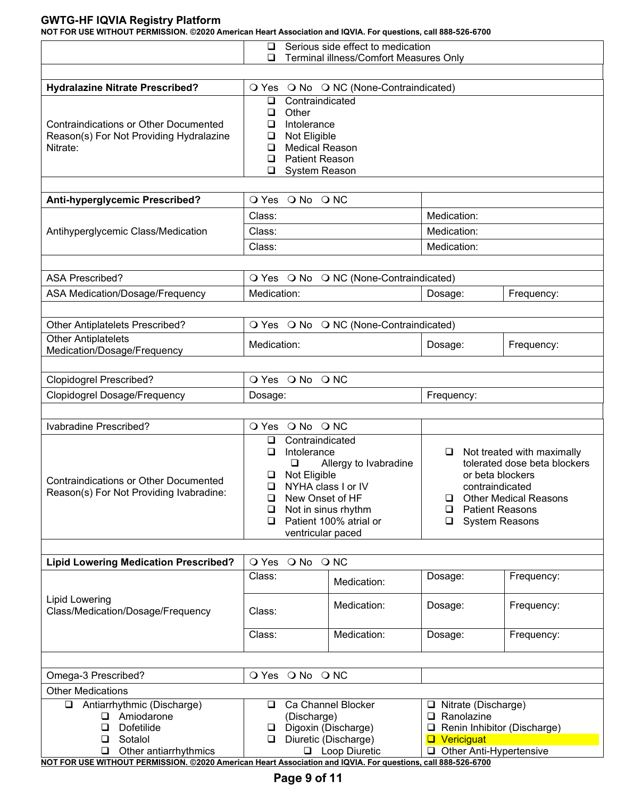|                                                                                                              | Serious side effect to medication<br>⊔                                                                                                                                                                                              |                                                  |                                                                                                                                                                                      |  |  |  |  |  |  |
|--------------------------------------------------------------------------------------------------------------|-------------------------------------------------------------------------------------------------------------------------------------------------------------------------------------------------------------------------------------|--------------------------------------------------|--------------------------------------------------------------------------------------------------------------------------------------------------------------------------------------|--|--|--|--|--|--|
|                                                                                                              | Terminal illness/Comfort Measures Only<br>❏                                                                                                                                                                                         |                                                  |                                                                                                                                                                                      |  |  |  |  |  |  |
| O Yes O No O NC (None-Contraindicated)<br><b>Hydralazine Nitrate Prescribed?</b>                             |                                                                                                                                                                                                                                     |                                                  |                                                                                                                                                                                      |  |  |  |  |  |  |
| <b>Contraindications or Other Documented</b><br>Reason(s) For Not Providing Hydralazine<br>Nitrate:          | Contraindicated<br>⊔<br>Other<br>❏<br>Intolerance<br>❏<br>Not Eligible<br>❏<br><b>Medical Reason</b><br>❏<br><b>Patient Reason</b><br>□<br>$\Box$<br>System Reason                                                                  |                                                  |                                                                                                                                                                                      |  |  |  |  |  |  |
| Anti-hyperglycemic Prescribed?                                                                               | O Yes O No O NC                                                                                                                                                                                                                     |                                                  |                                                                                                                                                                                      |  |  |  |  |  |  |
|                                                                                                              | Class:                                                                                                                                                                                                                              | Medication:                                      |                                                                                                                                                                                      |  |  |  |  |  |  |
| Antihyperglycemic Class/Medication                                                                           | Class:                                                                                                                                                                                                                              | Medication:                                      |                                                                                                                                                                                      |  |  |  |  |  |  |
|                                                                                                              | Class:                                                                                                                                                                                                                              | Medication:                                      |                                                                                                                                                                                      |  |  |  |  |  |  |
| <b>ASA Prescribed?</b>                                                                                       | O Yes O No O NC (None-Contraindicated)                                                                                                                                                                                              |                                                  |                                                                                                                                                                                      |  |  |  |  |  |  |
| ASA Medication/Dosage/Frequency                                                                              | Medication:                                                                                                                                                                                                                         | Dosage:                                          | Frequency:                                                                                                                                                                           |  |  |  |  |  |  |
| <b>Other Antiplatelets Prescribed?</b>                                                                       | O Yes O No O NC (None-Contraindicated)                                                                                                                                                                                              |                                                  |                                                                                                                                                                                      |  |  |  |  |  |  |
| <b>Other Antiplatelets</b><br>Medication/Dosage/Frequency                                                    | Medication:                                                                                                                                                                                                                         | Dosage:                                          | Frequency:                                                                                                                                                                           |  |  |  |  |  |  |
|                                                                                                              |                                                                                                                                                                                                                                     |                                                  |                                                                                                                                                                                      |  |  |  |  |  |  |
| <b>Clopidogrel Prescribed?</b>                                                                               | O Yes O No O NC                                                                                                                                                                                                                     |                                                  |                                                                                                                                                                                      |  |  |  |  |  |  |
| <b>Clopidogrel Dosage/Frequency</b>                                                                          | Dosage:                                                                                                                                                                                                                             | Frequency:                                       |                                                                                                                                                                                      |  |  |  |  |  |  |
|                                                                                                              |                                                                                                                                                                                                                                     |                                                  |                                                                                                                                                                                      |  |  |  |  |  |  |
| Ivabradine Prescribed?                                                                                       | O Yes O No O NC                                                                                                                                                                                                                     |                                                  |                                                                                                                                                                                      |  |  |  |  |  |  |
| <b>Contraindications or Other Documented</b><br>Reason(s) For Not Providing Ivabradine:                      | Contraindicated<br>❏<br>Intolerance<br>◻<br>$\Box$<br>Allergy to Ivabradine<br>Not Eligible<br>⊔<br>NYHA class I or IV<br>◻<br>New Onset of HF<br>□<br>Not in sinus rhythm<br>❏<br>Patient 100% atrial or<br>□<br>ventricular paced | □<br>❏<br>◻<br>❏                                 | Not treated with maximally<br>tolerated dose beta blockers<br>or beta blockers<br>contraindicated<br><b>Other Medical Reasons</b><br><b>Patient Reasons</b><br><b>System Reasons</b> |  |  |  |  |  |  |
| <b>Lipid Lowering Medication Prescribed?</b>                                                                 | O Yes O No O NC                                                                                                                                                                                                                     |                                                  |                                                                                                                                                                                      |  |  |  |  |  |  |
|                                                                                                              | Class:<br>Medication:                                                                                                                                                                                                               | Dosage:                                          | Frequency:                                                                                                                                                                           |  |  |  |  |  |  |
| <b>Lipid Lowering</b><br>Class/Medication/Dosage/Frequency                                                   | Medication:<br>Class:                                                                                                                                                                                                               | Dosage:                                          | Frequency:                                                                                                                                                                           |  |  |  |  |  |  |
|                                                                                                              | Medication:<br>Class:                                                                                                                                                                                                               | Dosage:                                          | Frequency:                                                                                                                                                                           |  |  |  |  |  |  |
|                                                                                                              |                                                                                                                                                                                                                                     |                                                  |                                                                                                                                                                                      |  |  |  |  |  |  |
| Omega-3 Prescribed?                                                                                          | O Yes O No O NC                                                                                                                                                                                                                     |                                                  |                                                                                                                                                                                      |  |  |  |  |  |  |
| <b>Other Medications</b>                                                                                     |                                                                                                                                                                                                                                     |                                                  |                                                                                                                                                                                      |  |  |  |  |  |  |
| Antiarrhythmic (Discharge)<br>□                                                                              | Ca Channel Blocker<br>⊔                                                                                                                                                                                                             | □ Nitrate (Discharge)                            |                                                                                                                                                                                      |  |  |  |  |  |  |
| $\Box$ Amiodarone<br>$\Box$<br>Dofetilide                                                                    | (Discharge)<br>Digoxin (Discharge)<br>$\Box$                                                                                                                                                                                        | $\Box$ Ranolazine<br>Renin Inhibitor (Discharge) |                                                                                                                                                                                      |  |  |  |  |  |  |
| $\Box$<br>Sotalol                                                                                            | Diuretic (Discharge)<br>$\Box$                                                                                                                                                                                                      | <b>Q</b> Vericiguat                              |                                                                                                                                                                                      |  |  |  |  |  |  |
| Other antiarrhythmics<br>$\Box$                                                                              | <b>Q</b> Loop Diuretic                                                                                                                                                                                                              | Other Anti-Hypertensive                          |                                                                                                                                                                                      |  |  |  |  |  |  |
| NOT FOR USE WITHOUT PERMISSION. @2020 American Heart Association and IQVIA. For questions, call 888-526-6700 |                                                                                                                                                                                                                                     |                                                  |                                                                                                                                                                                      |  |  |  |  |  |  |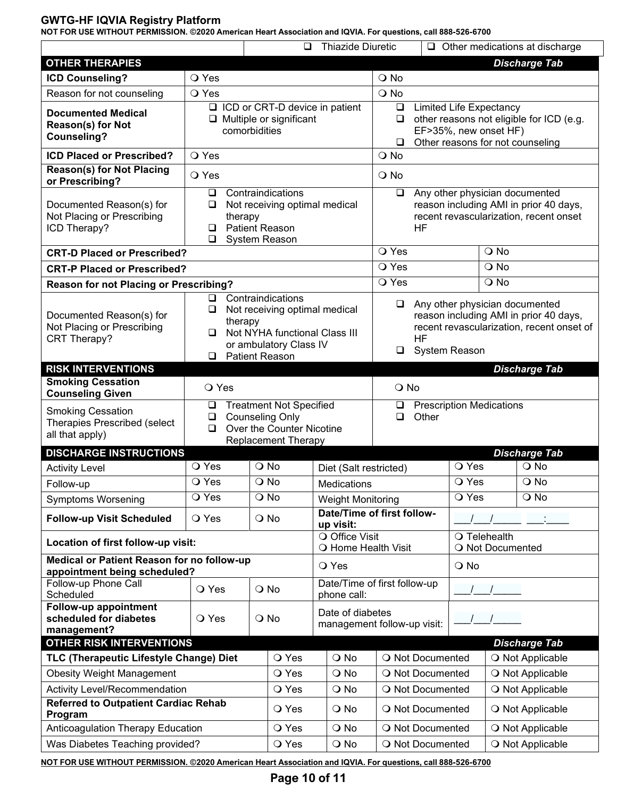**NOT FOR USE WITHOUT PERMISSION. ©2020 American Heart Association and IQVIA. For questions, call 888-526-6700**

|                                                                                                                 |                                                                                                                                                                            | $\Box$                                                                                              | <b>Thiazide Diuretic</b>                        |                                                                          |                                                                                                                                         |                                                                                                                                        |                      | $\Box$ Other medications at discharge |
|-----------------------------------------------------------------------------------------------------------------|----------------------------------------------------------------------------------------------------------------------------------------------------------------------------|-----------------------------------------------------------------------------------------------------|-------------------------------------------------|--------------------------------------------------------------------------|-----------------------------------------------------------------------------------------------------------------------------------------|----------------------------------------------------------------------------------------------------------------------------------------|----------------------|---------------------------------------|
| <b>OTHER THERAPIES</b>                                                                                          |                                                                                                                                                                            |                                                                                                     |                                                 |                                                                          |                                                                                                                                         |                                                                                                                                        | <b>Discharge Tab</b> |                                       |
| <b>ICD Counseling?</b>                                                                                          | O Yes                                                                                                                                                                      |                                                                                                     |                                                 | O No                                                                     |                                                                                                                                         |                                                                                                                                        |                      |                                       |
| Reason for not counseling                                                                                       | O Yes                                                                                                                                                                      |                                                                                                     |                                                 | O No                                                                     |                                                                                                                                         |                                                                                                                                        |                      |                                       |
| <b>Documented Medical</b><br>Reason(s) for Not<br><b>Counseling?</b>                                            |                                                                                                                                                                            | □ ICD or CRT-D device in patient<br>$\Box$ Multiple or significant<br>comorbidities                 |                                                 | $\Box$<br>$\Box$<br>$\Box$                                               | <b>Limited Life Expectancy</b><br>other reasons not eligible for ICD (e.g.<br>EF>35%, new onset HF)<br>Other reasons for not counseling |                                                                                                                                        |                      |                                       |
| <b>ICD Placed or Prescribed?</b>                                                                                | O Yes                                                                                                                                                                      |                                                                                                     |                                                 | $Q$ No                                                                   |                                                                                                                                         |                                                                                                                                        |                      |                                       |
| <b>Reason(s) for Not Placing</b><br>or Prescribing?                                                             | O Yes                                                                                                                                                                      |                                                                                                     |                                                 | $\bigcirc$ No                                                            |                                                                                                                                         |                                                                                                                                        |                      |                                       |
| Documented Reason(s) for<br>Not Placing or Prescribing<br>ICD Therapy?                                          | $\Box$<br>❏<br>therapy<br>❏<br>⊔                                                                                                                                           | Contraindications<br>Not receiving optimal medical<br><b>Patient Reason</b><br><b>System Reason</b> |                                                 | $\Box$                                                                   | Any other physician documented<br>reason including AMI in prior 40 days,<br>recent revascularization, recent onset<br><b>HF</b>         |                                                                                                                                        |                      |                                       |
| <b>CRT-D Placed or Prescribed?</b>                                                                              |                                                                                                                                                                            |                                                                                                     |                                                 | O Yes                                                                    |                                                                                                                                         |                                                                                                                                        | O No                 |                                       |
| <b>CRT-P Placed or Prescribed?</b>                                                                              |                                                                                                                                                                            |                                                                                                     |                                                 | O Yes                                                                    |                                                                                                                                         |                                                                                                                                        | O No                 |                                       |
| <b>Reason for not Placing or Prescribing?</b>                                                                   |                                                                                                                                                                            |                                                                                                     |                                                 | O Yes                                                                    |                                                                                                                                         |                                                                                                                                        | O No                 |                                       |
| Documented Reason(s) for<br>Not Placing or Prescribing<br>CRT Therapy?                                          | Contraindications<br>$\Box$<br>Not receiving optimal medical<br>❏<br>therapy<br>Not NYHA functional Class III<br>❏<br>or ambulatory Class IV<br><b>Patient Reason</b><br>◻ |                                                                                                     |                                                 | $\Box$<br>$\Box$                                                         | <b>HF</b>                                                                                                                               | Any other physician documented<br>reason including AMI in prior 40 days,<br>recent revascularization, recent onset of<br>System Reason |                      |                                       |
| <b>RISK INTERVENTIONS</b>                                                                                       |                                                                                                                                                                            |                                                                                                     |                                                 |                                                                          |                                                                                                                                         |                                                                                                                                        |                      | <b>Discharge Tab</b>                  |
| <b>Smoking Cessation</b><br><b>Counseling Given</b><br><b>Smoking Cessation</b><br>Therapies Prescribed (select | O Yes<br>□<br>□                                                                                                                                                            | <b>Treatment Not Specified</b><br><b>Counseling Only</b>                                            |                                                 | $\bigcirc$ No<br><b>Prescription Medications</b><br>❏<br>Other<br>$\Box$ |                                                                                                                                         |                                                                                                                                        |                      |                                       |
| all that apply)                                                                                                 | $\Box$                                                                                                                                                                     | Over the Counter Nicotine                                                                           |                                                 |                                                                          |                                                                                                                                         |                                                                                                                                        |                      |                                       |
| <b>DISCHARGE INSTRUCTIONS</b>                                                                                   |                                                                                                                                                                            | <b>Replacement Therapy</b>                                                                          |                                                 |                                                                          |                                                                                                                                         |                                                                                                                                        |                      | <b>Discharge Tab</b>                  |
| <b>Activity Level</b>                                                                                           | O Yes                                                                                                                                                                      | $\bigcirc$ No                                                                                       | Diet (Salt restricted)                          | $\overline{O}$ Yes                                                       |                                                                                                                                         |                                                                                                                                        |                      | O No                                  |
| Follow-up                                                                                                       | O Yes                                                                                                                                                                      | $\bigcirc$ No                                                                                       | Medications                                     |                                                                          |                                                                                                                                         | O Yes                                                                                                                                  |                      | O No                                  |
| <b>Symptoms Worsening</b>                                                                                       | O Yes                                                                                                                                                                      | $\bigcirc$ No                                                                                       | <b>Weight Monitoring</b>                        |                                                                          |                                                                                                                                         | O Yes                                                                                                                                  |                      | O No                                  |
| <b>Follow-up Visit Scheduled</b>                                                                                | O Yes                                                                                                                                                                      | O No                                                                                                | Date/Time of first follow-<br>up visit:         |                                                                          |                                                                                                                                         |                                                                                                                                        |                      |                                       |
| Location of first follow-up visit:                                                                              |                                                                                                                                                                            |                                                                                                     | O Office Visit<br>O Home Health Visit           |                                                                          |                                                                                                                                         | O Telehealth<br>O Not Documented                                                                                                       |                      |                                       |
| Medical or Patient Reason for no follow-up<br>appointment being scheduled?                                      |                                                                                                                                                                            |                                                                                                     | O Yes                                           |                                                                          |                                                                                                                                         | $\bigcirc$ No                                                                                                                          |                      |                                       |
| Follow-up Phone Call<br>Scheduled                                                                               | O Yes                                                                                                                                                                      | $\bigcirc$ No                                                                                       | Date/Time of first follow-up<br>phone call:     |                                                                          |                                                                                                                                         |                                                                                                                                        |                      |                                       |
| <b>Follow-up appointment</b><br>scheduled for diabetes<br>management?                                           | O Yes                                                                                                                                                                      | $\bigcirc$ No                                                                                       | Date of diabetes<br>management follow-up visit: |                                                                          |                                                                                                                                         |                                                                                                                                        |                      |                                       |
| <b>OTHER RISK INTERVENTIONS</b>                                                                                 |                                                                                                                                                                            |                                                                                                     |                                                 |                                                                          |                                                                                                                                         |                                                                                                                                        |                      | <b>Discharge Tab</b>                  |
| TLC (Therapeutic Lifestyle Change) Diet                                                                         |                                                                                                                                                                            | O Yes                                                                                               | $\bigcirc$ No                                   |                                                                          | O Not Documented                                                                                                                        |                                                                                                                                        |                      | O Not Applicable                      |
| <b>Obesity Weight Management</b>                                                                                |                                                                                                                                                                            | O Yes                                                                                               | $\bigcirc$ No                                   |                                                                          | O Not Documented                                                                                                                        |                                                                                                                                        |                      | O Not Applicable                      |
| Activity Level/Recommendation                                                                                   |                                                                                                                                                                            | O Yes                                                                                               | $\bigcirc$ No                                   |                                                                          | O Not Documented                                                                                                                        |                                                                                                                                        |                      | O Not Applicable                      |
| <b>Referred to Outpatient Cardiac Rehab</b><br>Program                                                          |                                                                                                                                                                            | O Yes                                                                                               | O No                                            |                                                                          | O Not Documented                                                                                                                        |                                                                                                                                        |                      | O Not Applicable                      |
| Anticoagulation Therapy Education                                                                               |                                                                                                                                                                            | O Yes                                                                                               | O No                                            |                                                                          | O Not Documented                                                                                                                        |                                                                                                                                        |                      | O Not Applicable                      |
| Was Diabetes Teaching provided?                                                                                 |                                                                                                                                                                            | $\bigcirc$ No                                                                                       |                                                 | O Not Documented                                                         |                                                                                                                                         |                                                                                                                                        | O Not Applicable     |                                       |